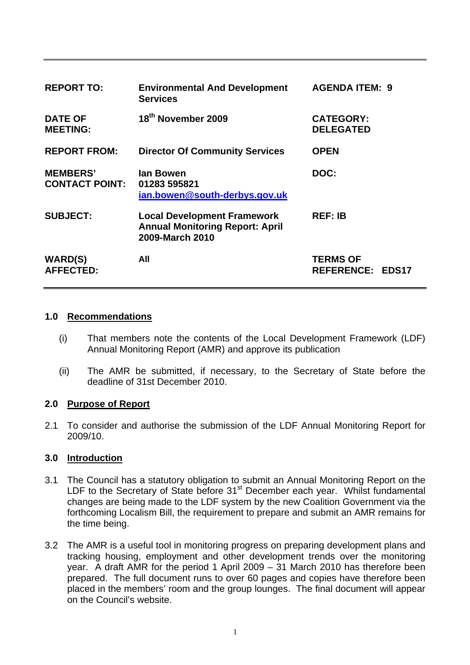| <b>REPORT TO:</b>                        | <b>Environmental And Development</b><br><b>Services</b>                                         | <b>AGENDA ITEM: 9</b>                      |
|------------------------------------------|-------------------------------------------------------------------------------------------------|--------------------------------------------|
| <b>DATE OF</b><br><b>MEETING:</b>        | 18th November 2009                                                                              | <b>CATEGORY:</b><br><b>DELEGATED</b>       |
| <b>REPORT FROM:</b>                      | <b>Director Of Community Services</b>                                                           | <b>OPEN</b>                                |
| <b>MEMBERS'</b><br><b>CONTACT POINT:</b> | lan Bowen<br>01283 595821<br>ian.bowen@south-derbys.gov.uk                                      | DOC:                                       |
| <b>SUBJECT:</b>                          | <b>Local Development Framework</b><br><b>Annual Monitoring Report: April</b><br>2009-March 2010 | <b>REF: IB</b>                             |
| <b>WARD(S)</b><br><b>AFFECTED:</b>       | All                                                                                             | <b>TERMS OF</b><br><b>REFERENCE: EDS17</b> |

## **1.0 Recommendations**

- (i) That members note the contents of the Local Development Framework (LDF) Annual Monitoring Report (AMR) and approve its publication
- (ii) The AMR be submitted, if necessary, to the Secretary of State before the deadline of 31st December 2010.

## **2.0 Purpose of Report**

2.1 To consider and authorise the submission of the LDF Annual Monitoring Report for 2009/10.

#### **3.0 Introduction**

- 3.1 The Council has a statutory obligation to submit an Annual Monitoring Report on the LDF to the Secretary of State before  $31<sup>st</sup>$  December each year. Whilst fundamental changes are being made to the LDF system by the new Coalition Government via the forthcoming Localism Bill, the requirement to prepare and submit an AMR remains for the time being.
- 3.2 The AMR is a useful tool in monitoring progress on preparing development plans and tracking housing, employment and other development trends over the monitoring year. A draft AMR for the period 1 April 2009 – 31 March 2010 has therefore been prepared. The full document runs to over 60 pages and copies have therefore been placed in the members' room and the group lounges. The final document will appear on the Council's website.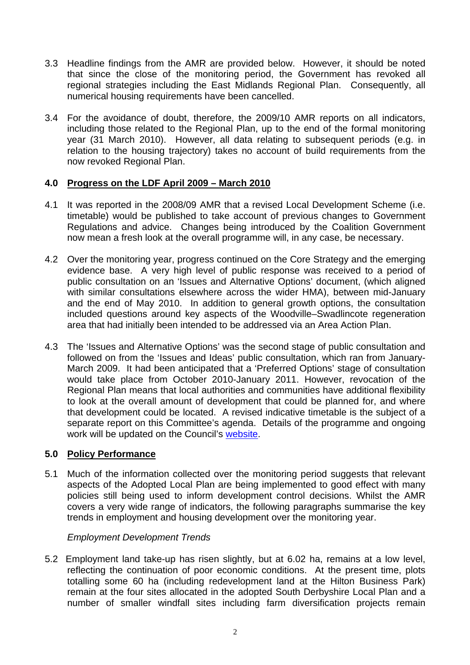- 3.3 Headline findings from the AMR are provided below. However, it should be noted that since the close of the monitoring period, the Government has revoked all regional strategies including the East Midlands Regional Plan. Consequently, all numerical housing requirements have been cancelled.
- 3.4 For the avoidance of doubt, therefore, the 2009/10 AMR reports on all indicators, including those related to the Regional Plan, up to the end of the formal monitoring year (31 March 2010). However, all data relating to subsequent periods (e.g. in relation to the housing trajectory) takes no account of build requirements from the now revoked Regional Plan.

## **4.0 Progress on the LDF April 2009 – March 2010**

- 4.1 It was reported in the 2008/09 AMR that a revised Local Development Scheme (i.e. timetable) would be published to take account of previous changes to Government Regulations and advice. Changes being introduced by the Coalition Government now mean a fresh look at the overall programme will, in any case, be necessary.
- 4.2 Over the monitoring year, progress continued on the Core Strategy and the emerging evidence base. A very high level of public response was received to a period of public consultation on an 'Issues and Alternative Options' document, (which aligned with similar consultations elsewhere across the wider HMA), between mid-January and the end of May 2010. In addition to general growth options, the consultation included questions around key aspects of the Woodville–Swadlincote regeneration area that had initially been intended to be addressed via an Area Action Plan.
- 4.3 The 'Issues and Alternative Options' was the second stage of public consultation and followed on from the 'Issues and Ideas' public consultation, which ran from January-March 2009. It had been anticipated that a 'Preferred Options' stage of consultation would take place from October 2010-January 2011. However, revocation of the Regional Plan means that local authorities and communities have additional flexibility to look at the overall amount of development that could be planned for, and where that development could be located. A revised indicative timetable is the subject of a separate report on this Committee's agenda. Details of the programme and ongoing work will be updated on the Council's [website](http://www.south-derbys.gov.uk/planning_and_building_control/planning_policy/default.asp).

# **5.0 Policy Performance**

5.1 Much of the information collected over the monitoring period suggests that relevant aspects of the Adopted Local Plan are being implemented to good effect with many policies still being used to inform development control decisions. Whilst the AMR covers a very wide range of indicators, the following paragraphs summarise the key trends in employment and housing development over the monitoring year.

## *Employment Development Trends*

5.2 Employment land take-up has risen slightly, but at 6.02 ha, remains at a low level, reflecting the continuation of poor economic conditions. At the present time, plots totalling some 60 ha (including redevelopment land at the Hilton Business Park) remain at the four sites allocated in the adopted South Derbyshire Local Plan and a number of smaller windfall sites including farm diversification projects remain